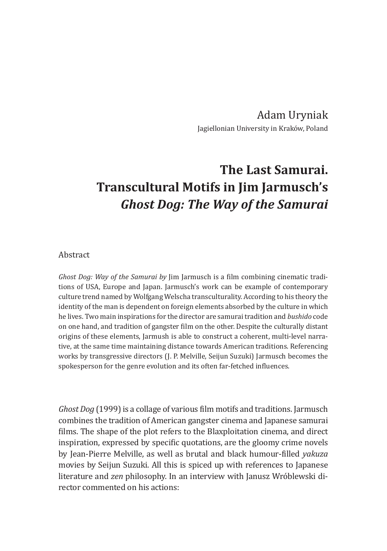Adam Uryniak Jagiellonian University in Kraków, Poland

## **The Last Samurai. Transcultural Motifs in Jim Jarmusch's** *Ghost Dog: The Way of the Samurai*

## Abstract

*Ghost Dog: Way of the Samurai by* Jim Jarmusch is a film combining cinematic traditions of USA, Europe and Japan. Jarmusch's work can be example of contemporary culture trend named by Wolfgang Welscha transculturality. According to his theory the identity of the man is dependent on foreign elements absorbed by the culture in which he lives. Two main inspirations for the director are samurai tradition and *bushido* code on one hand, and tradition of gangster film on the other. Despite the culturally distant origins of these elements, Jarmush is able to construct a coherent, multi-level narrative, at the same time maintaining distance towards American traditions. Referencing works by transgressive directors (J. P. Melville, Seijun Suzuki) Jarmusch becomes the spokesperson for the genre evolution and its often far-fetched influences.

*Ghost Dog* (1999) is a collage of various film motifs and traditions. Jarmusch combines the tradition of American gangster cinema and Japanese samurai films. The shape of the plot refers to the Blaxploitation cinema, and direct inspiration, expressed by specific quotations, are the gloomy crime novels by Jean-Pierre Melville, as well as brutal and black humour-filled *yakuza* movies by Seijun Suzuki. All this is spiced up with references to Japanese literature and *zen* philosophy. In an interview with Janusz Wróblewski director commented on his actions: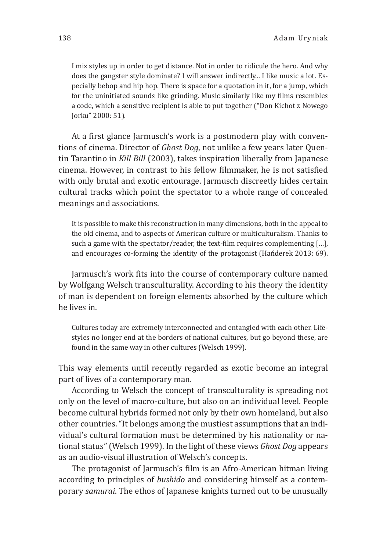I mix styles up in order to get distance. Not in order to ridicule the hero. And why does the gangster style dominate? I will answer indirectly... I like music a lot. Especially bebop and hip hop. There is space for a quotation in it, for a jump, which for the uninitiated sounds like grinding. Music similarly like my films resembles a code, which a sensitive recipient is able to put together ("Don Kichot z Nowego Jorku" 2000: 51).

At a first glance Jarmusch's work is a postmodern play with conventions of cinema. Director of *Ghost Dog*, not unlike a few years later Quentin Tarantino in *Kill Bill* (2003), takes inspiration liberally from Japanese cinema. However, in contrast to his fellow filmmaker, he is not satisfied with only brutal and exotic entourage. Jarmusch discreetly hides certain cultural tracks which point the spectator to a whole range of concealed meanings and associations.

It is possible to make this reconstruction in many dimensions, both in the appeal to the old cinema, and to aspects of American culture or multiculturalism. Thanks to such a game with the spectator/reader, the text-film requires complementing […], and encourages co-forming the identity of the protagonist (Hańderek 2013: 69).

Jarmusch's work fits into the course of contemporary culture named by Wolfgang Welsch transculturality. According to his theory the identity of man is dependent on foreign elements absorbed by the culture which he lives in.

Cultures today are extremely interconnected and entangled with each other. Lifestyles no longer end at the borders of national cultures, but go beyond these, are found in the same way in other cultures (Welsch 1999).

This way elements until recently regarded as exotic become an integral part of lives of a contemporary man.

According to Welsch the concept of transculturality is spreading not only on the level of macro-culture, but also on an individual level. People become cultural hybrids formed not only by their own homeland, but also other countries. "It belongs among the mustiest assumptions that an individual's cultural formation must be determined by his nationality or national status" (Welsch 1999). In the light of these views *Ghost Dog* appears as an audio-visual illustration of Welsch's concepts.

The protagonist of Jarmusch's film is an Afro-American hitman living according to principles of *bushido* and considering himself as a contemporary *samurai*. The ethos of Japanese knights turned out to be unusually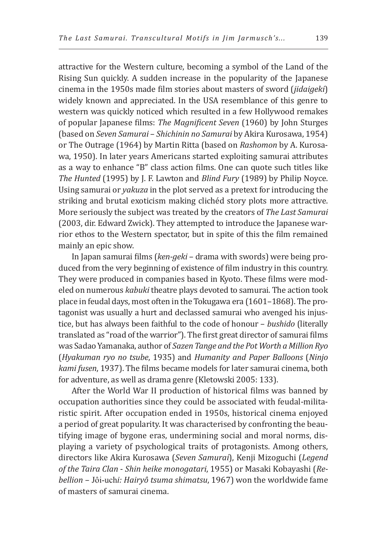attractive for the Western culture, becoming a symbol of the Land of the Rising Sun quickly. A sudden increase in the popularity of the Japanese cinema in the 1950s made film stories about masters of sword (*jidaigeki*) widely known and appreciated. In the USA resemblance of this genre to western was quickly noticed which resulted in a few Hollywood remakes of popular Japanese films: *The Magnificent Seven* (1960) by John Sturges (based on *Seven Samurai* – *Shichinin no Samurai* by Akira Kurosawa, 1954) or The Outrage (1964) by Martin Ritta (based on *Rashomon* by A. Kurosawa, 1950). In later years Americans started exploiting samurai attributes as a way to enhance "B" class action films. One can quote such titles like *The Hunted* (1995) by J. F. Lawton and *Blind Fury* (1989) by Philip Noyce. Using samurai or *yakuza* in the plot served as a pretext for introducing the striking and brutal exoticism making clichéd story plots more attractive. More seriously the subject was treated by the creators of *The Last Samurai* (2003, dir. Edward Zwick). They attempted to introduce the Japanese warrior ethos to the Western spectator, but in spite of this the film remained mainly an epic show.

In Japan samurai films (*ken-geki* – drama with swords) were being produced from the very beginning of existence of film industry in this country. They were produced in companies based in Kyoto. These films were modeled on numerous *kabuki* theatre plays devoted to samurai. The action took place in feudal days, most often in the Tokugawa era (1601–1868). The protagonist was usually a hurt and declassed samurai who avenged his injustice, but has always been faithful to the code of honour – *bushido* (literally translated as "road of the warrior"). The first great director of samurai films was Sadao Yamanaka, author of *Sazen Tange and the Pot Worth a Million Ryo* (*Hyakuman ryo no tsube*, 1935) and *Humanity and Paper Balloons* (*Ninjo kami fusen*, 1937). The films became models for later samurai cinema, both for adventure, as well as drama genre (Kletowski 2005: 133).

After the World War II production of historical films was banned by occupation authorities since they could be associated with feudal-militaristic spirit. After occupation ended in 1950s, historical cinema enjoyed a period of great popularity. It was characterised by confronting the beautifying image of bygone eras, undermining social and moral norms, displaying a variety of psychological traits of protagonists. Among others, directors like Akira Kurosawa (*Seven Samurai*), Kenji Mizoguchi (*Legend of the Taira Clan* - *Shin heike monogatari*, 1955) or Masaki Kobayashi (*Rebellion –* Jôi-uch*i: Hairyô tsuma shimatsu*, 1967) won the worldwide fame of masters of samurai cinema.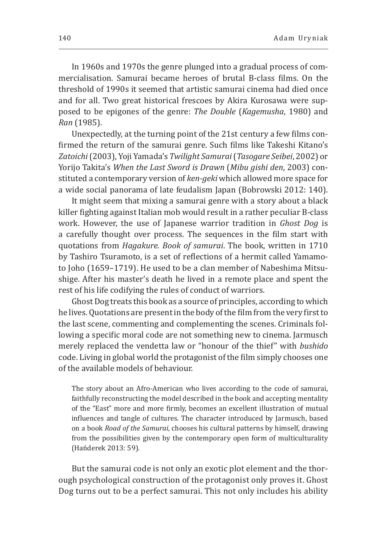In 1960s and 1970s the genre plunged into a gradual process of commercialisation. Samurai became heroes of brutal B-class films. On the threshold of 1990s it seemed that artistic samurai cinema had died once and for all. Two great historical frescoes by Akira Kurosawa were supposed to be epigones of the genre: *The Double* (*Kagemusha*, 1980) and *Ran* (1985).

Unexpectedly, at the turning point of the 21st century a few films confirmed the return of the samurai genre. Such films like Takeshi Kitano's *Zatoichi* (2003), Yoji Yamada's *Twilight Samurai* (*Tasogare Seibei*, 2002) or Yorijo Takita's *When the Last Sword is Drawn* (*Mibu gishi den*, 2003) constituted a contemporary version of *ken-geki* which allowed more space for a wide social panorama of late feudalism Japan (Bobrowski 2012: 140).

It might seem that mixing a samurai genre with a story about a black killer fighting against Italian mob would result in a rather peculiar B-class work. However, the use of Japanese warrior tradition in *Ghost Dog* is a carefully thought over process. The sequences in the film start with quotations from *Hagakure. Book of samurai*. The book, written in 1710 by Tashiro Tsuramoto, is a set of reflections of a hermit called Yamamoto Joho (1659–1719). He used to be a clan member of Nabeshima Mitsushige. After his master's death he lived in a remote place and spent the rest of his life codifying the rules of conduct of warriors.

Ghost Dog treats this book as a source of principles, according to which he lives. Quotations are present in the body of the film from the very first to the last scene, commenting and complementing the scenes. Criminals following a specific moral code are not something new to cinema. Jarmusch merely replaced the vendetta law or "honour of the thief" with *bushido* code. Living in global world the protagonist of the film simply chooses one of the available models of behaviour.

The story about an Afro-American who lives according to the code of samurai, faithfully reconstructing the model described in the book and accepting mentality of the "East" more and more firmly, becomes an excellent illustration of mutual influences and tangle of cultures. The character introduced by Jarmusch, based on a book *Road of the Samurai*, chooses his cultural patterns by himself, drawing from the possibilities given by the contemporary open form of multiculturality (Hańderek 2013: 59).

But the samurai code is not only an exotic plot element and the thorough psychological construction of the protagonist only proves it. Ghost Dog turns out to be a perfect samurai. This not only includes his ability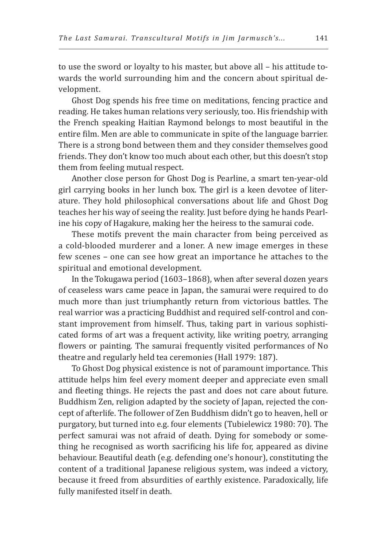to use the sword or loyalty to his master, but above all – his attitude towards the world surrounding him and the concern about spiritual development.

Ghost Dog spends his free time on meditations, fencing practice and reading. He takes human relations very seriously, too. His friendship with the French speaking Haitian Raymond belongs to most beautiful in the entire film. Men are able to communicate in spite of the language barrier. There is a strong bond between them and they consider themselves good friends. They don't know too much about each other, but this doesn't stop them from feeling mutual respect.

Another close person for Ghost Dog is Pearline, a smart ten-year-old girl carrying books in her lunch box. The girl is a keen devotee of literature. They hold philosophical conversations about life and Ghost Dog teaches her his way of seeing the reality. Just before dying he hands Pearline his copy of Hagakure, making her the heiress to the samurai code.

These motifs prevent the main character from being perceived as a cold-blooded murderer and a loner. A new image emerges in these few scenes – one can see how great an importance he attaches to the spiritual and emotional development.

In the Tokugawa period (1603–1868), when after several dozen years of ceaseless wars came peace in Japan, the samurai were required to do much more than just triumphantly return from victorious battles. The real warrior was a practicing Buddhist and required self-control and constant improvement from himself. Thus, taking part in various sophisticated forms of art was a frequent activity, like writing poetry, arranging flowers or painting. The samurai frequently visited performances of No theatre and regularly held tea ceremonies (Hall 1979: 187).

To Ghost Dog physical existence is not of paramount importance. This attitude helps him feel every moment deeper and appreciate even small and fleeting things. He rejects the past and does not care about future. Buddhism Zen, religion adapted by the society of Japan, rejected the concept of afterlife. The follower of Zen Buddhism didn't go to heaven, hell or purgatory, but turned into e.g. four elements (Tubielewicz 1980: 70). The perfect samurai was not afraid of death. Dying for somebody or something he recognised as worth sacrificing his life for, appeared as divine behaviour. Beautiful death (e.g. defending one's honour), constituting the content of a traditional Japanese religious system, was indeed a victory, because it freed from absurdities of earthly existence. Paradoxically, life fully manifested itself in death.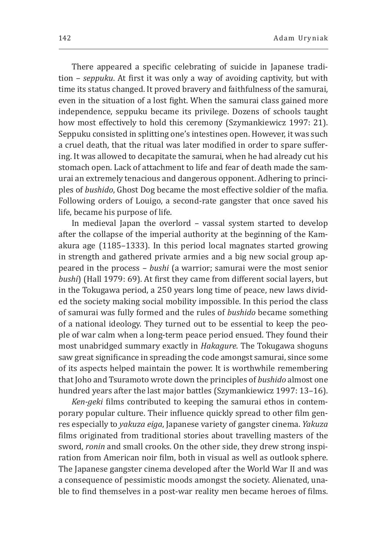There appeared a specific celebrating of suicide in Japanese tradition – *seppuku*. At first it was only a way of avoiding captivity, but with time its status changed. It proved bravery and faithfulness of the samurai, even in the situation of a lost fight. When the samurai class gained more independence, seppuku became its privilege. Dozens of schools taught how most effectively to hold this ceremony (Szymankiewicz 1997: 21). Seppuku consisted in splitting one's intestines open. However, it was such a cruel death, that the ritual was later modified in order to spare suffering. It was allowed to decapitate the samurai, when he had already cut his stomach open. Lack of attachment to life and fear of death made the samurai an extremely tenacious and dangerous opponent. Adhering to principles of *bushido*, Ghost Dog became the most effective soldier of the mafia. Following orders of Louigo, a second-rate gangster that once saved his life, became his purpose of life.

In medieval Japan the overlord – vassal system started to develop after the collapse of the imperial authority at the beginning of the Kamakura age (1185–1333). In this period local magnates started growing in strength and gathered private armies and a big new social group appeared in the process – *bushi* (a warrior; samurai were the most senior *bushi*) (Hall 1979: 69). At first they came from different social layers, but in the Tokugawa period, a 250 years long time of peace, new laws divided the society making social mobility impossible. In this period the class of samurai was fully formed and the rules of *bushido* became something of a national ideology. They turned out to be essential to keep the people of war calm when a long-term peace period ensued. They found their most unabridged summary exactly in *Hakagure*. The Tokugawa shoguns saw great significance in spreading the code amongst samurai, since some of its aspects helped maintain the power. It is worthwhile remembering that Joho and Tsuramoto wrote down the principles of *bushido* almost one hundred years after the last major battles (Szymankiewicz 1997: 13-16).

*Ken-geki* films contributed to keeping the samurai ethos in contemporary popular culture. Their influence quickly spread to other film genres especially to *yakuza eiga*, Japanese variety of gangster cinema. *Yakuza* films originated from traditional stories about travelling masters of the sword, *ronin* and small crooks. On the other side, they drew strong inspiration from American noir film, both in visual as well as outlook sphere. The Japanese gangster cinema developed after the World War II and was a consequence of pessimistic moods amongst the society. Alienated, unable to find themselves in a post-war reality men became heroes of films.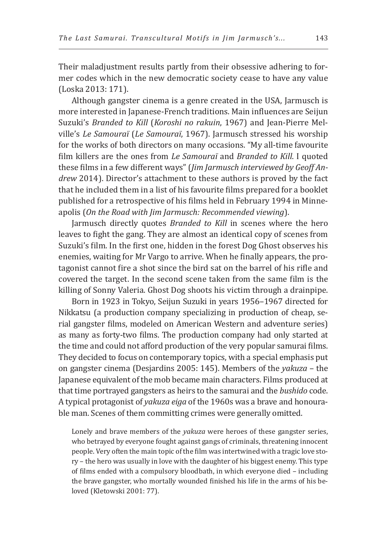Their maladjustment results partly from their obsessive adhering to former codes which in the new democratic society cease to have any value (Loska 2013: 171).

Although gangster cinema is a genre created in the USA, Jarmusch is more interested in Japanese-French traditions. Main influences are Seijun Suzuki's *Branded to Kill* (*Koroshi no rakuin*, 1967) and Jean-Pierre Melville's *Le Samouraï* (*Le Samouraï*, 1967). Jarmusch stressed his worship for the works of both directors on many occasions. "My all-time favourite film killers are the ones from *Le Samouraï* and *Branded to Kill*. I quoted these films in a few different ways" (*Jim Jarmusch interviewed by Geoff Andrew* 2014). Director's attachment to these authors is proved by the fact that he included them in a list of his favourite films prepared for a booklet published for a retrospective of his films held in February 1994 in Minneapolis (*On the Road with Jim Jarmusch: Recommended viewing*).

Jarmusch directly quotes *Branded to Kill* in scenes where the hero leaves to fight the gang. They are almost an identical copy of scenes from Suzuki's film. In the first one, hidden in the forest Dog Ghost observes his enemies, waiting for Mr Vargo to arrive. When he finally appears, the protagonist cannot fire a shot since the bird sat on the barrel of his rifle and covered the target. In the second scene taken from the same film is the killing of Sonny Valeria. Ghost Dog shoots his victim through a drainpipe.

Born in 1923 in Tokyo, Seijun Suzuki in years 1956–1967 directed for Nikkatsu (a production company specializing in production of cheap, serial gangster films, modeled on American Western and adventure series) as many as forty-two films. The production company had only started at the time and could not afford production of the very popular samurai films. They decided to focus on contemporary topics, with a special emphasis put on gangster cinema (Desjardins 2005: 145). Members of the *yakuza* – the Japanese equivalent of the mob became main characters. Films produced at that time portrayed gangsters as heirs to the samurai and the *bushido* code. A typical protagonist of *yakuza eiga* of the 1960s was a brave and honourable man. Scenes of them committing crimes were generally omitted.

Lonely and brave members of the *yakuza* were heroes of these gangster series, who betrayed by everyone fought against gangs of criminals, threatening innocent people. Very often the main topic of the film was intertwined with a tragic love story – the hero was usually in love with the daughter of his biggest enemy. This type of films ended with a compulsory bloodbath, in which everyone died – including the brave gangster, who mortally wounded finished his life in the arms of his beloved (Kletowski 2001: 77).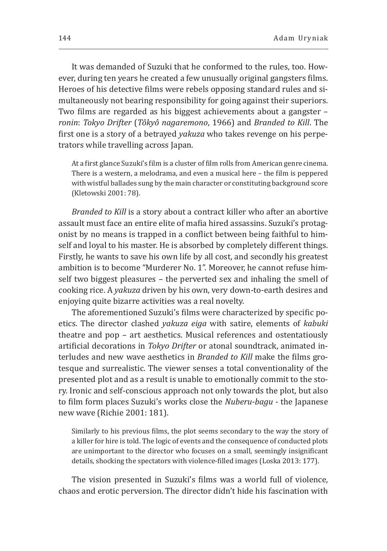It was demanded of Suzuki that he conformed to the rules, too. However, during ten years he created a few unusually original gangsters films. Heroes of his detective films were rebels opposing standard rules and simultaneously not bearing responsibility for going against their superiors. Two films are regarded as his biggest achievements about a gangster – *ronin*: *Tokyo Drifter* (*Tôkyô nagaremono*, 1966) and *Branded to Kill*. The first one is a story of a betrayed *yakuza* who takes revenge on his perpetrators while travelling across Japan.

At a first glance Suzuki's film is a cluster of film rolls from American genre cinema. There is a western, a melodrama, and even a musical here – the film is peppered with wistful ballades sung by the main character or constituting background score (Kletowski 2001: 78).

*Branded to Kill* is a story about a contract killer who after an abortive assault must face an entire elite of mafia hired assassins. Suzuki's protagonist by no means is trapped in a conflict between being faithful to himself and loyal to his master. He is absorbed by completely different things. Firstly, he wants to save his own life by all cost, and secondly his greatest ambition is to become "Murderer No. 1". Moreover, he cannot refuse himself two biggest pleasures – the perverted sex and inhaling the smell of cooking rice. A *yakuza* driven by his own, very down-to-earth desires and enjoying quite bizarre activities was a real novelty.

The aforementioned Suzuki's films were characterized by specific poetics. The director clashed *yakuza eiga* with satire, elements of *kabuki* theatre and pop – art aesthetics. Musical references and ostentatiously artificial decorations in *Tokyo Drifter* or atonal soundtrack, animated interludes and new wave aesthetics in *Branded to Kill* make the films grotesque and surrealistic. The viewer senses a total conventionality of the presented plot and as a result is unable to emotionally commit to the story. Ironic and self-conscious approach not only towards the plot, but also to film form places Suzuki's works close the *Nuberu-bagu* - the Japanese new wave (Richie 2001: 181).

Similarly to his previous films, the plot seems secondary to the way the story of a killer for hire is told. The logic of events and the consequence of conducted plots are unimportant to the director who focuses on a small, seemingly insignificant details, shocking the spectators with violence-filled images (Loska 2013: 177).

The vision presented in Suzuki's films was a world full of violence, chaos and erotic perversion. The director didn't hide his fascination with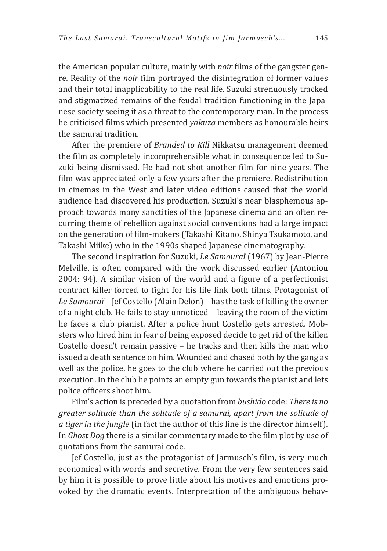the American popular culture, mainly with *noir* films of the gangster genre. Reality of the *noir* film portrayed the disintegration of former values and their total inapplicability to the real life. Suzuki strenuously tracked and stigmatized remains of the feudal tradition functioning in the Japanese society seeing it as a threat to the contemporary man. In the process he criticised films which presented *yakuza* members as honourable heirs the samurai tradition.

After the premiere of *Branded to Kill* Nikkatsu management deemed the film as completely incomprehensible what in consequence led to Suzuki being dismissed. He had not shot another film for nine years. The film was appreciated only a few years after the premiere. Redistribution in cinemas in the West and later video editions caused that the world audience had discovered his production. Suzuki's near blasphemous approach towards many sanctities of the Japanese cinema and an often recurring theme of rebellion against social conventions had a large impact on the generation of film-makers (Takashi Kitano, Shinya Tsukamoto, and Takashi Miike) who in the 1990s shaped Japanese cinematography.

The second inspiration for Suzuki, *Le Samouraï* (1967) by Jean-Pierre Melville, is often compared with the work discussed earlier (Antoniou 2004: 94). A similar vision of the world and a figure of a perfectionist contract killer forced to fight for his life link both films. Protagonist of *Le Samouraï* – Jef Costello (Alain Delon) – has the task of killing the owner of a night club. He fails to stay unnoticed – leaving the room of the victim he faces a club pianist. After a police hunt Costello gets arrested. Mobsters who hired him in fear of being exposed decide to get rid of the killer. Costello doesn't remain passive – he tracks and then kills the man who issued a death sentence on him. Wounded and chased both by the gang as well as the police, he goes to the club where he carried out the previous execution. In the club he points an empty gun towards the pianist and lets police officers shoot him.

Film's action is preceded by a quotation from *bushido* code: *There is no greater solitude than the solitude of a samurai, apart from the solitude of a tiger in the jungle* (in fact the author of this line is the director himself). In *Ghost Dog* there is a similar commentary made to the film plot by use of quotations from the samurai code.

Jef Costello, just as the protagonist of Jarmusch's film, is very much economical with words and secretive. From the very few sentences said by him it is possible to prove little about his motives and emotions provoked by the dramatic events. Interpretation of the ambiguous behav-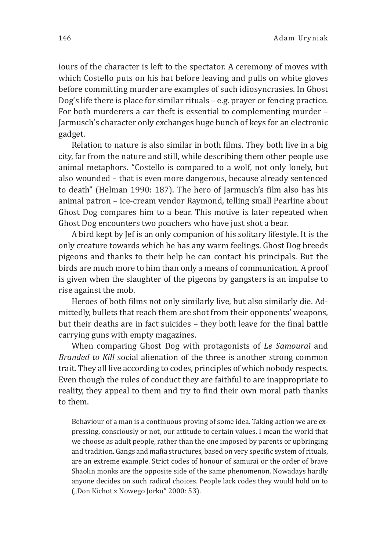iours of the character is left to the spectator. A ceremony of moves with which Costello puts on his hat before leaving and pulls on white gloves before committing murder are examples of such idiosyncrasies. In Ghost Dog's life there is place for similar rituals – e.g. prayer or fencing practice. For both murderers a car theft is essential to complementing murder – Jarmusch's character only exchanges huge bunch of keys for an electronic gadget.

Relation to nature is also similar in both films. They both live in a big city, far from the nature and still, while describing them other people use animal metaphors. "Costello is compared to a wolf, not only lonely, but also wounded – that is even more dangerous, because already sentenced to death" (Helman 1990: 187). The hero of Jarmusch's film also has his animal patron – ice-cream vendor Raymond, telling small Pearline about Ghost Dog compares him to a bear. This motive is later repeated when Ghost Dog encounters two poachers who have just shot a bear.

A bird kept by Jef is an only companion of his solitary lifestyle. It is the only creature towards which he has any warm feelings. Ghost Dog breeds pigeons and thanks to their help he can contact his principals. But the birds are much more to him than only a means of communication. A proof is given when the slaughter of the pigeons by gangsters is an impulse to rise against the mob.

Heroes of both films not only similarly live, but also similarly die. Admittedly, bullets that reach them are shot from their opponents' weapons, but their deaths are in fact suicides – they both leave for the final battle carrying guns with empty magazines.

When comparing Ghost Dog with protagonists of *Le Samouraï* and *Branded to Kill* social alienation of the three is another strong common trait. They all live according to codes, principles of which nobody respects. Even though the rules of conduct they are faithful to are inappropriate to reality, they appeal to them and try to find their own moral path thanks to them.

Behaviour of a man is a continuous proving of some idea. Taking action we are expressing, consciously or not, our attitude to certain values. I mean the world that we choose as adult people, rather than the one imposed by parents or upbringing and tradition. Gangs and mafia structures, based on very specific system of rituals, are an extreme example. Strict codes of honour of samurai or the order of brave Shaolin monks are the opposite side of the same phenomenon. Nowadays hardly anyone decides on such radical choices. People lack codes they would hold on to ("Don Kichot z Nowego Jorku" 2000: 53).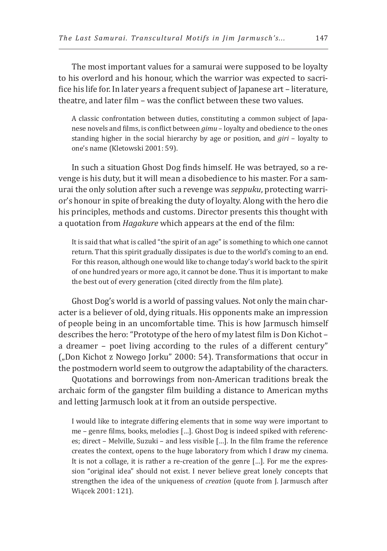The most important values for a samurai were supposed to be loyalty to his overlord and his honour, which the warrior was expected to sacrifice his life for. In later years a frequent subject of Japanese art – literature, theatre, and later film – was the conflict between these two values.

A classic confrontation between duties, constituting a common subject of Japanese novels and films, is conflict between *gimu* – loyalty and obedience to the ones standing higher in the social hierarchy by age or position, and *giri* – loyalty to one's name (Kletowski 2001: 59).

In such a situation Ghost Dog finds himself. He was betrayed, so a revenge is his duty, but it will mean a disobedience to his master. For a samurai the only solution after such a revenge was *seppuku*, protecting warrior's honour in spite of breaking the duty of loyalty. Along with the hero die his principles, methods and customs. Director presents this thought with a quotation from *Hagakure* which appears at the end of the film:

It is said that what is called "the spirit of an age" is something to which one cannot return. That this spirit gradually dissipates is due to the world's coming to an end. For this reason, although one would like to change today's world back to the spirit of one hundred years or more ago, it cannot be done. Thus it is important to make the best out of every generation (cited directly from the film plate).

Ghost Dog's world is a world of passing values. Not only the main character is a believer of old, dying rituals. His opponents make an impression of people being in an uncomfortable time. This is how Jarmusch himself describes the hero: "Prototype of the hero of my latest film is Don Kichot – a dreamer – poet living according to the rules of a different century" ("Don Kichot z Nowego Jorku" 2000: 54). Transformations that occur in the postmodern world seem to outgrow the adaptability of the characters.

Quotations and borrowings from non-American traditions break the archaic form of the gangster film building a distance to American myths and letting Jarmusch look at it from an outside perspective.

I would like to integrate differing elements that in some way were important to me – genre films, books, melodies […]. Ghost Dog is indeed spiked with references; direct – Melville, Suzuki – and less visible […]. In the film frame the reference creates the context, opens to the huge laboratory from which I draw my cinema. It is not a collage, it is rather a re-creation of the genre […]. For me the expression "original idea" should not exist. I never believe great lonely concepts that strengthen the idea of the uniqueness of *creation* (quote from J. Jarmusch after Wiącek 2001: 121).